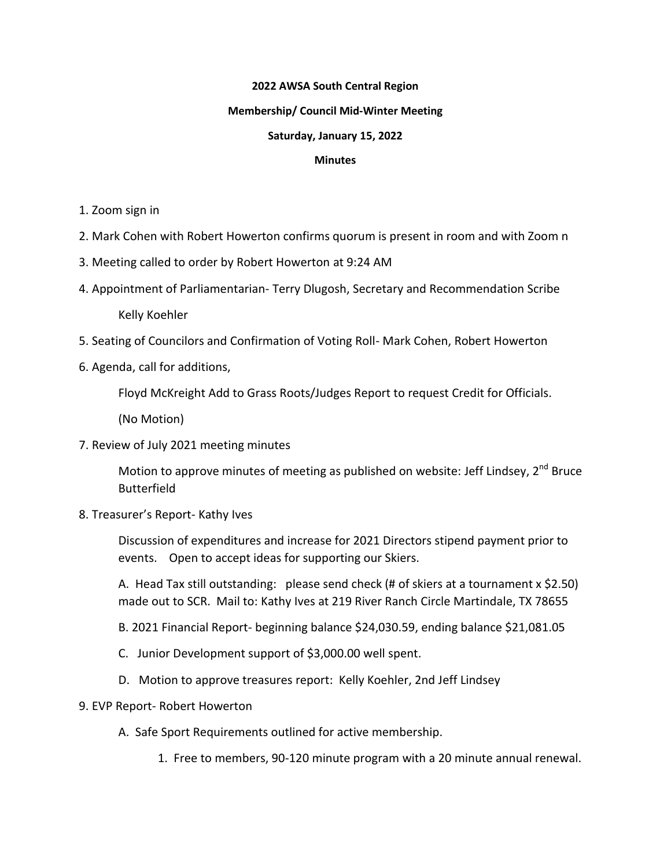## **2022 AWSA South Central Region**

#### **Membership/ Council Mid-Winter Meeting**

## **Saturday, January 15, 2022**

#### **Minutes**

- 1. Zoom sign in
- 2. Mark Cohen with Robert Howerton confirms quorum is present in room and with Zoom n
- 3. Meeting called to order by Robert Howerton at 9:24 AM
- 4. Appointment of Parliamentarian- Terry Dlugosh, Secretary and Recommendation Scribe

Kelly Koehler

- 5. Seating of Councilors and Confirmation of Voting Roll- Mark Cohen, Robert Howerton
- 6. Agenda, call for additions,

Floyd McKreight Add to Grass Roots/Judges Report to request Credit for Officials.

(No Motion)

7. Review of July 2021 meeting minutes

Motion to approve minutes of meeting as published on website: Jeff Lindsey,  $2^{nd}$  Bruce Butterfield

8. Treasurer's Report- Kathy Ives

Discussion of expenditures and increase for 2021 Directors stipend payment prior to events. Open to accept ideas for supporting our Skiers.

A. Head Tax still outstanding: please send check (# of skiers at a tournament x \$2.50) made out to SCR. Mail to: Kathy Ives at 219 River Ranch Circle Martindale, TX 78655

- B. 2021 Financial Report- beginning balance \$24,030.59, ending balance \$21,081.05
- C. Junior Development support of \$3,000.00 well spent.
- D. Motion to approve treasures report: Kelly Koehler, 2nd Jeff Lindsey
- 9. EVP Report- Robert Howerton
	- A. Safe Sport Requirements outlined for active membership.
		- 1. Free to members, 90-120 minute program with a 20 minute annual renewal.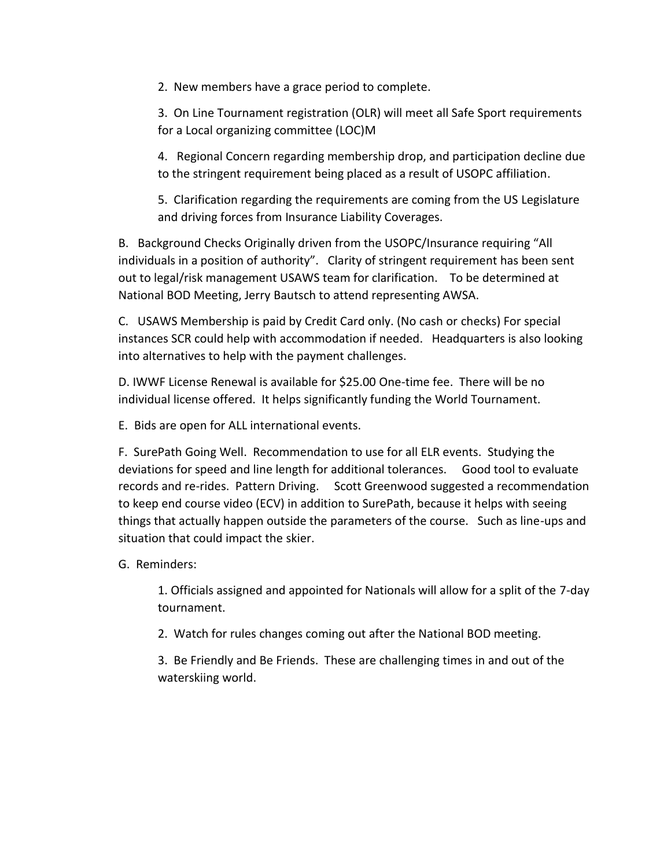2. New members have a grace period to complete.

3. On Line Tournament registration (OLR) will meet all Safe Sport requirements for a Local organizing committee (LOC)M

4. Regional Concern regarding membership drop, and participation decline due to the stringent requirement being placed as a result of USOPC affiliation.

5. Clarification regarding the requirements are coming from the US Legislature and driving forces from Insurance Liability Coverages.

B. Background Checks Originally driven from the USOPC/Insurance requiring "All individuals in a position of authority". Clarity of stringent requirement has been sent out to legal/risk management USAWS team for clarification. To be determined at National BOD Meeting, Jerry Bautsch to attend representing AWSA.

C. USAWS Membership is paid by Credit Card only. (No cash or checks) For special instances SCR could help with accommodation if needed. Headquarters is also looking into alternatives to help with the payment challenges.

D. IWWF License Renewal is available for \$25.00 One-time fee. There will be no individual license offered. It helps significantly funding the World Tournament.

E. Bids are open for ALL international events.

F. SurePath Going Well. Recommendation to use for all ELR events. Studying the deviations for speed and line length for additional tolerances. Good tool to evaluate records and re-rides. Pattern Driving. Scott Greenwood suggested a recommendation to keep end course video (ECV) in addition to SurePath, because it helps with seeing things that actually happen outside the parameters of the course. Such as line-ups and situation that could impact the skier.

G. Reminders:

1. Officials assigned and appointed for Nationals will allow for a split of the 7-day tournament.

2. Watch for rules changes coming out after the National BOD meeting.

3. Be Friendly and Be Friends. These are challenging times in and out of the waterskiing world.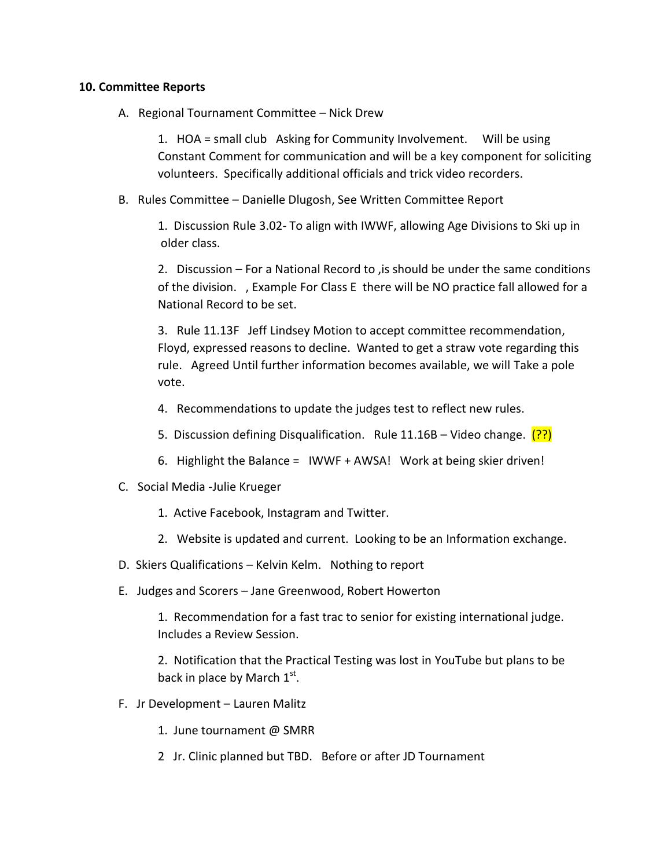# **10. Committee Reports**

A. Regional Tournament Committee – Nick Drew

1. HOA = small club Asking for Community Involvement. Will be using Constant Comment for communication and will be a key component for soliciting volunteers. Specifically additional officials and trick video recorders.

B. Rules Committee – Danielle Dlugosh, See Written Committee Report

1. Discussion Rule 3.02- To align with IWWF, allowing Age Divisions to Ski up in older class.

2. Discussion – For a National Record to ,is should be under the same conditions of the division. , Example For Class E there will be NO practice fall allowed for a National Record to be set.

3. Rule 11.13F Jeff Lindsey Motion to accept committee recommendation, Floyd, expressed reasons to decline. Wanted to get a straw vote regarding this rule. Agreed Until further information becomes available, we will Take a pole vote.

- 4. Recommendations to update the judges test to reflect new rules.
- 5. Discussion defining Disqualification. Rule 11.16B Video change.  $(?)$
- 6. Highlight the Balance = IWWF + AWSA! Work at being skier driven!
- C. Social Media -Julie Krueger
	- 1. Active Facebook, Instagram and Twitter.
	- 2. Website is updated and current. Looking to be an Information exchange.
- D. Skiers Qualifications Kelvin Kelm. Nothing to report
- E. Judges and Scorers Jane Greenwood, Robert Howerton

1. Recommendation for a fast trac to senior for existing international judge. Includes a Review Session.

2. Notification that the Practical Testing was lost in YouTube but plans to be back in place by March  $1^\text{st}$ .

- F. Jr Development Lauren Malitz
	- 1. June tournament @ SMRR
	- 2 Jr. Clinic planned but TBD. Before or after JD Tournament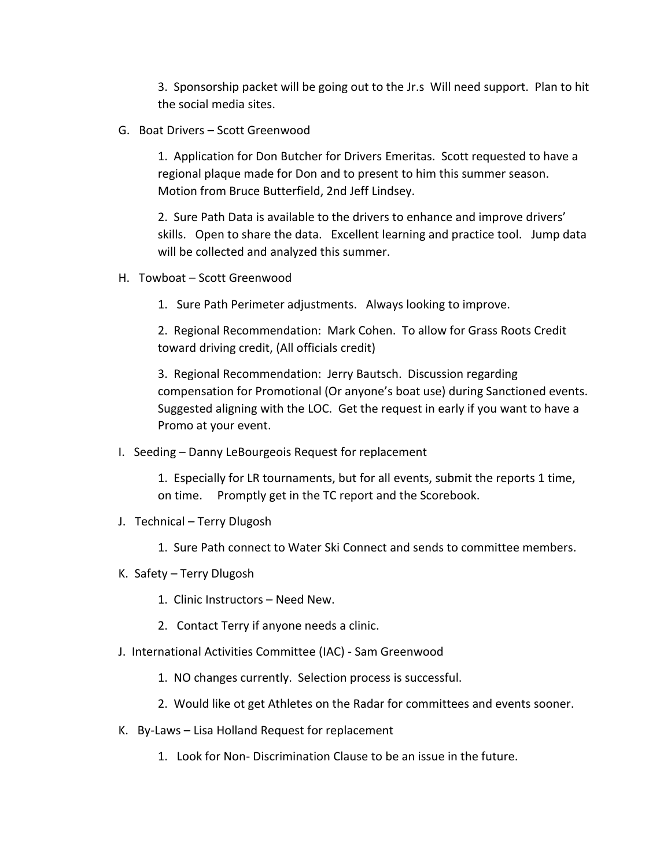3. Sponsorship packet will be going out to the Jr.s Will need support. Plan to hit the social media sites.

G. Boat Drivers – Scott Greenwood

1. Application for Don Butcher for Drivers Emeritas. Scott requested to have a regional plaque made for Don and to present to him this summer season. Motion from Bruce Butterfield, 2nd Jeff Lindsey.

2. Sure Path Data is available to the drivers to enhance and improve drivers' skills. Open to share the data. Excellent learning and practice tool. Jump data will be collected and analyzed this summer.

- H. Towboat Scott Greenwood
	- 1. Sure Path Perimeter adjustments. Always looking to improve.

2. Regional Recommendation: Mark Cohen. To allow for Grass Roots Credit toward driving credit, (All officials credit)

3. Regional Recommendation: Jerry Bautsch. Discussion regarding compensation for Promotional (Or anyone's boat use) during Sanctioned events. Suggested aligning with the LOC. Get the request in early if you want to have a Promo at your event.

I. Seeding – Danny LeBourgeois Request for replacement

1. Especially for LR tournaments, but for all events, submit the reports 1 time, on time. Promptly get in the TC report and the Scorebook.

- J. Technical Terry Dlugosh
	- 1. Sure Path connect to Water Ski Connect and sends to committee members.
- K. Safety Terry Dlugosh
	- 1. Clinic Instructors Need New.
	- 2. Contact Terry if anyone needs a clinic.
- J. International Activities Committee (IAC) Sam Greenwood
	- 1. NO changes currently. Selection process is successful.
	- 2. Would like ot get Athletes on the Radar for committees and events sooner.
- K. By-Laws Lisa Holland Request for replacement
	- 1. Look for Non- Discrimination Clause to be an issue in the future.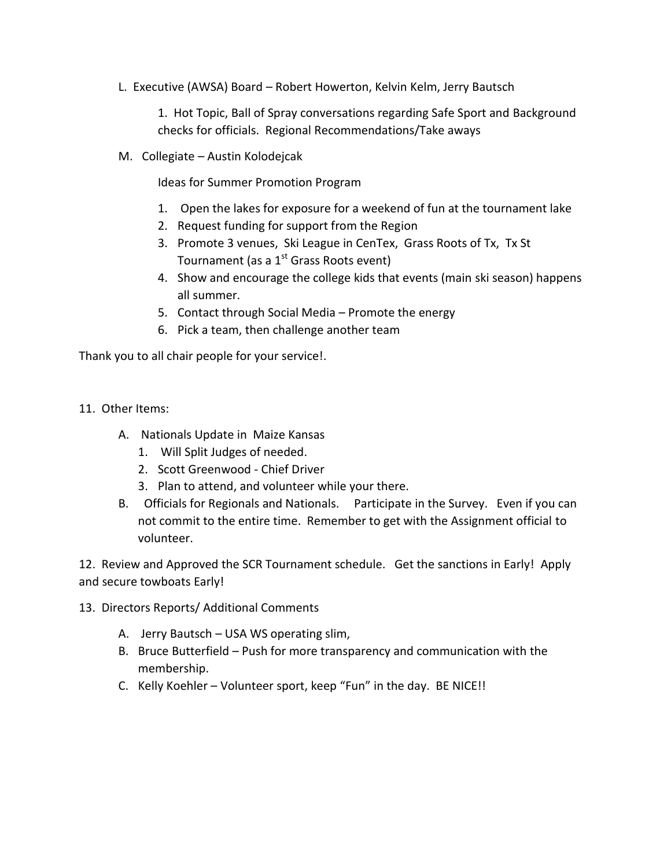L. Executive (AWSA) Board – Robert Howerton, Kelvin Kelm, Jerry Bautsch

1. Hot Topic, Ball of Spray conversations regarding Safe Sport and Background checks for officials. Regional Recommendations/Take aways

M. Collegiate – Austin Kolodejcak

Ideas for Summer Promotion Program

- 1. Open the lakes for exposure for a weekend of fun at the tournament lake
- 2. Request funding for support from the Region
- 3. Promote 3 venues, Ski League in CenTex, Grass Roots of Tx, Tx St Tournament (as a  $1<sup>st</sup>$  Grass Roots event)
- 4. Show and encourage the college kids that events (main ski season) happens all summer.
- 5. Contact through Social Media Promote the energy
- 6. Pick a team, then challenge another team

Thank you to all chair people for your service!.

- 11. Other Items:
	- A. Nationals Update in Maize Kansas
		- 1. Will Split Judges of needed.
		- 2. Scott Greenwood Chief Driver
		- 3. Plan to attend, and volunteer while your there.
	- B. Officials for Regionals and Nationals. Participate in the Survey. Even if you can not commit to the entire time. Remember to get with the Assignment official to volunteer.

12. Review and Approved the SCR Tournament schedule. Get the sanctions in Early! Apply and secure towboats Early!

- 13. Directors Reports/ Additional Comments
	- A. Jerry Bautsch USA WS operating slim,
	- B. Bruce Butterfield Push for more transparency and communication with the membership.
	- C. Kelly Koehler Volunteer sport, keep "Fun" in the day. BE NICE!!